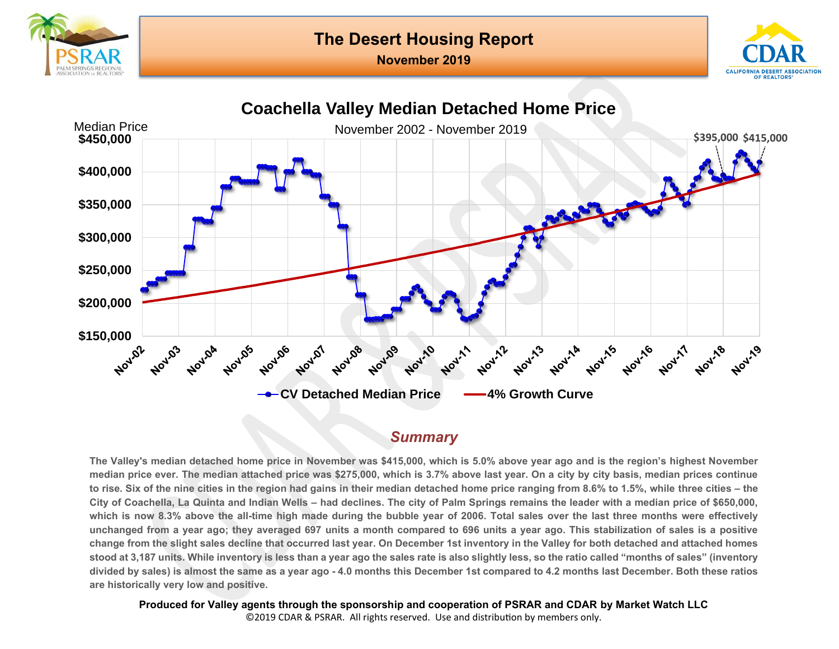





#### *Summary*

**The Valley's median detached home price in November was \$415,000, which is 5.0% above year ago and is the region's highest November median price ever. The median attached price was \$275,000, which is 3.7% above last year. On a city by city basis, median prices continue to rise. Six of the nine cities in the region had gains in their median detached home price ranging from 8.6% to 1.5%, while three cities – the City of Coachella, La Quinta and Indian Wells – had declines. The city of Palm Springs remains the leader with a median price of \$650,000, which is now 8.3% above the all-time high made during the bubble year of 2006. Total sales over the last three months were effectively unchanged from a year ago; they averaged 697 units a month compared to 696 units a year ago. This stabilization of sales is a positive change from the slight sales decline that occurred last year. On December 1st inventory in the Valley for both detached and attached homes stood at 3,187 units. While inventory is less than a year ago the sales rate is also slightly less, so the ratio called "months of sales" (inventory divided by sales) is almost the same as a year ago - 4.0 months this December 1st compared to 4.2 months last December. Both these ratios are historically very low and positive.** 

**Produced for Valley agents through the sponsorship and cooperation of PSRAR and CDAR by Market Watch LLC** ©2019 CDAR & PSRAR. All rights reserved. Use and distribution by members only.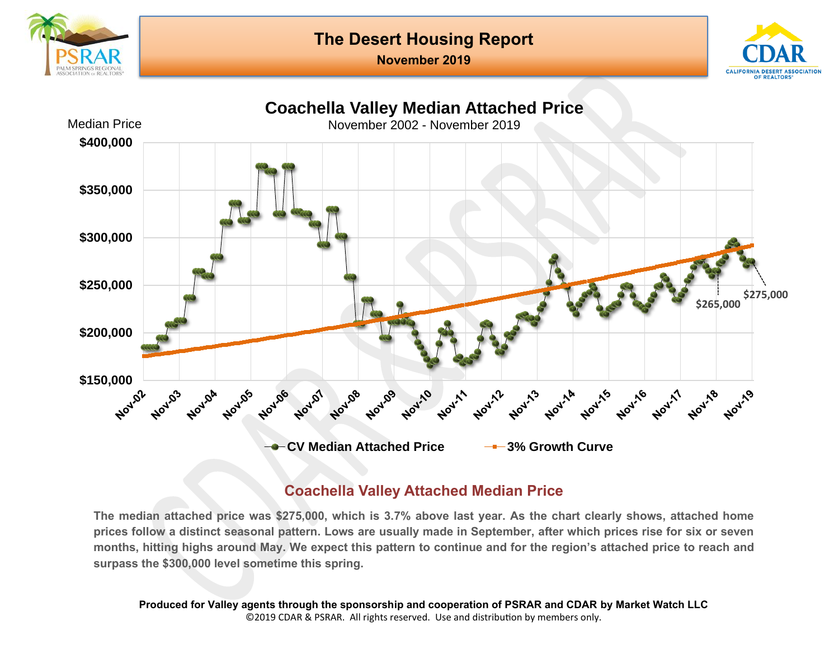



**Coachella Valley Median Attached Price**  Median Price November 2002 - November 2019 **\$400,000 \$350,000 \$300,000 \$250,000 \$275,000 \$265,000 \$200,000** \$150,000<br><sup>2</sup>.92 Novide Novase Nov.13 **Nov-11A Nov** 109 Noving **Nov** 03 Novick **NOV/05** Noval Nov-10 **Noun PAOJITE** Nov-11 **Nov'11** Nov'18 Nov'19 **CV Median Attached Price 3% Growth Curve**

### **Coachella Valley Attached Median Price**

**The median attached price was \$275,000, which is 3.7% above last year. As the chart clearly shows, attached home prices follow a distinct seasonal pattern. Lows are usually made in September, after which prices rise for six or seven months, hitting highs around May. We expect this pattern to continue and for the region's attached price to reach and surpass the \$300,000 level sometime this spring.**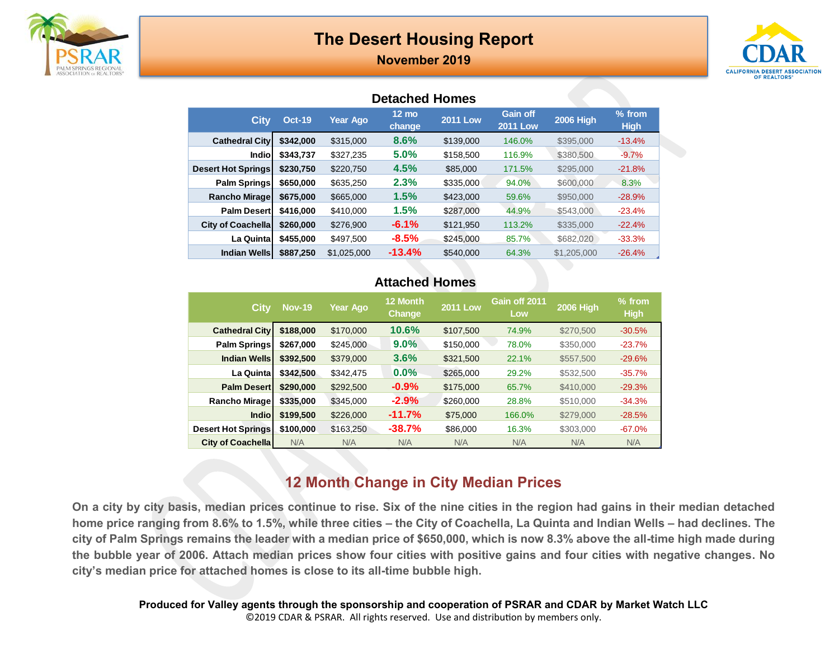

**November 2019**



#### **Detached Homes**

| <b>City</b>               | <b>Oct-19</b> | <b>Year Ago</b> | $12 \text{ mo}$<br>change | <b>2011 Low</b> | Gain off<br><b>2011 Low</b> | <b>2006 High</b> | $%$ from<br><b>High</b> |
|---------------------------|---------------|-----------------|---------------------------|-----------------|-----------------------------|------------------|-------------------------|
| <b>Cathedral City</b>     | \$342,000     | \$315,000       | 8.6%                      | \$139,000       | 146.0%                      | \$395,000        | $-13.4%$                |
| Indiol                    | \$343,737     | \$327,235       | 5.0%                      | \$158,500       | 116.9%                      | \$380,500        | $-9.7%$                 |
| <b>Desert Hot Springs</b> | \$230.750     | \$220,750       | 4.5%                      | \$85,000        | 171.5%                      | \$295,000        | $-21.8%$                |
| Palm Springs              | \$650,000     | \$635,250       | 2.3%                      | \$335,000       | 94.0%                       | \$600,000        | 8.3%                    |
| <b>Rancho Mirage</b>      | \$675,000     | \$665,000       | 1.5%                      | \$423,000       | 59.6%                       | \$950,000        | $-28.9%$                |
| <b>Palm Desert</b>        | \$416,000     | \$410,000       | 1.5%                      | \$287,000       | 44.9%                       | \$543,000        | $-23.4%$                |
| <b>City of Coachella</b>  | \$260,000     | \$276,900       | $-6.1%$                   | \$121,950       | 113.2%                      | \$335,000        | $-22.4%$                |
| <b>La Quintal</b>         | \$455,000     | \$497.500       | $-8.5%$                   | \$245,000       | 85.7%                       | \$682,020        | $-33.3%$                |
| <b>Indian Wells</b>       | \$887,250     | \$1,025,000     | $-13.4%$                  | \$540,000       | 64.3%                       | \$1,205,000      | $-26.4%$                |

#### **Attached Homes**

| <b>City</b>               | <b>Nov-19</b> | Year Ago  | 12 Month<br>Change | <b>2011 Low</b> | Gain off 2011<br>Low | <b>2006 High</b> | $%$ from<br><b>High</b> |
|---------------------------|---------------|-----------|--------------------|-----------------|----------------------|------------------|-------------------------|
| <b>Cathedral City</b>     | \$188,000     | \$170,000 | 10.6%              | \$107,500       | 74.9%                | \$270,500        | $-30.5%$                |
| Palm Springs              | \$267,000     | \$245,000 | $9.0\%$            | \$150,000       | 78.0%                | \$350,000        | $-23.7%$                |
| <b>Indian Wells</b>       | \$392.500     | \$379,000 | 3.6%               | \$321,500       | 22.1%                | \$557,500        | $-29.6%$                |
| La Quinta                 | \$342,500     | \$342.475 | $0.0\%$            | \$265,000       | 29.2%                | \$532,500        | $-35.7%$                |
| <b>Palm Desert</b>        | \$290,000     | \$292,500 | $-0.9\%$           | \$175,000       | 65.7%                | \$410,000        | $-29.3%$                |
| <b>Rancho Mirage</b>      | \$335,000     | \$345,000 | $-2.9%$            | \$260,000       | 28.8%                | \$510,000        | $-34.3%$                |
| <b>Indio</b>              | \$199,500     | \$226,000 | $-11.7%$           | \$75,000        | 166.0%               | \$279,000        | $-28.5%$                |
| <b>Desert Hot Springs</b> | \$100,000     | \$163,250 | $-38.7%$           | \$86,000        | 16.3%                | \$303,000        | $-67.0%$                |
| <b>City of Coachella</b>  | N/A           | N/A       | N/A                | N/A             | N/A                  | N/A              | N/A                     |

### **12 Month Change in City Median Prices**

**On a city by city basis, median prices continue to rise. Six of the nine cities in the region had gains in their median detached home price ranging from 8.6% to 1.5%, while three cities – the City of Coachella, La Quinta and Indian Wells – had declines. The city of Palm Springs remains the leader with a median price of \$650,000, which is now 8.3% above the all-time high made during the bubble year of 2006. Attach median prices show four cities with positive gains and four cities with negative changes. No city's median price for attached homes is close to its all-time bubble high.**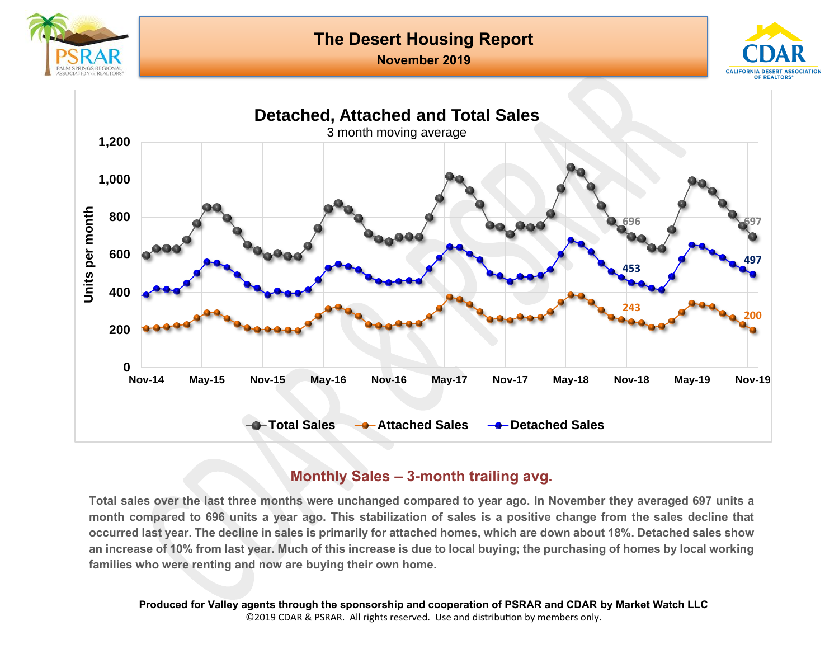





### **Monthly Sales – 3-month trailing avg.**

**Total sales over the last three months were unchanged compared to year ago. In November they averaged 697 units a month compared to 696 units a year ago. This stabilization of sales is a positive change from the sales decline that occurred last year. The decline in sales is primarily for attached homes, which are down about 18%. Detached sales show an increase of 10% from last year. Much of this increase is due to local buying; the purchasing of homes by local working families who were renting and now are buying their own home.**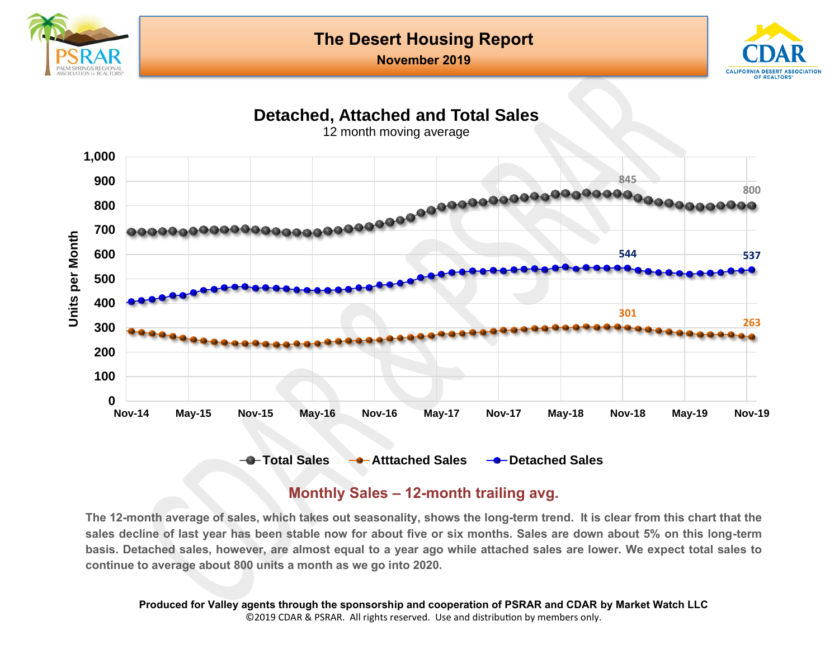





#### **Monthly Sales – 12-month trailing avg.**

**The 12-month average of sales, which takes out seasonality, shows the long-term trend. It is clear from this chart that the sales decline of last year has been stable now for about five or six months. Sales are down about 5% on this long-term basis. Detached sales, however, are almost equal to a year ago while attached sales are lower. We expect total sales to continue to average about 800 units a month as we go into 2020.**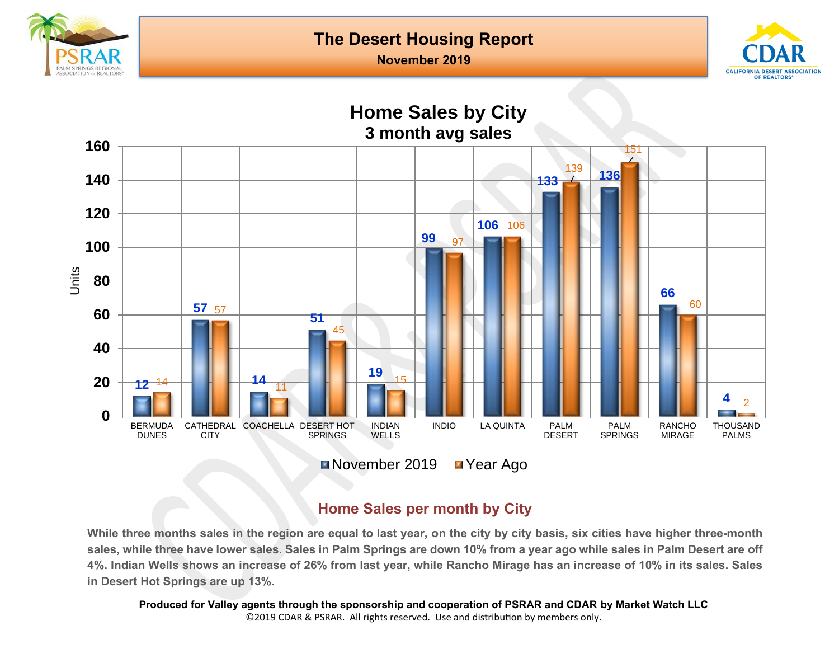

**November 2019**





# **Home Sales per month by City**

**While three months sales in the region are equal to last year, on the city by city basis, six cities have higher three-month sales, while three have lower sales. Sales in Palm Springs are down 10% from a year ago while sales in Palm Desert are off 4%. Indian Wells shows an increase of 26% from last year, while Rancho Mirage has an increase of 10% in its sales. Sales in Desert Hot Springs are up 13%.**

**Produced for Valley agents through the sponsorship and cooperation of PSRAR and CDAR by Market Watch LLC** ©2019 CDAR & PSRAR. All rights reserved. Use and distribution by members only.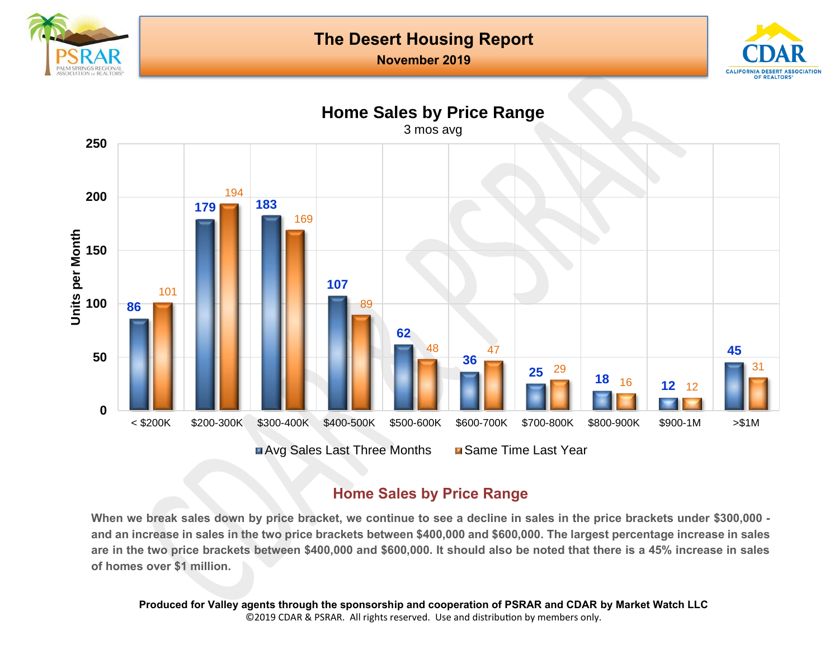





### **Home Sales by Price Range**

**When we break sales down by price bracket, we continue to see a decline in sales in the price brackets under \$300,000 and an increase in sales in the two price brackets between \$400,000 and \$600,000. The largest percentage increase in sales are in the two price brackets between \$400,000 and \$600,000. It should also be noted that there is a 45% increase in sales of homes over \$1 million.**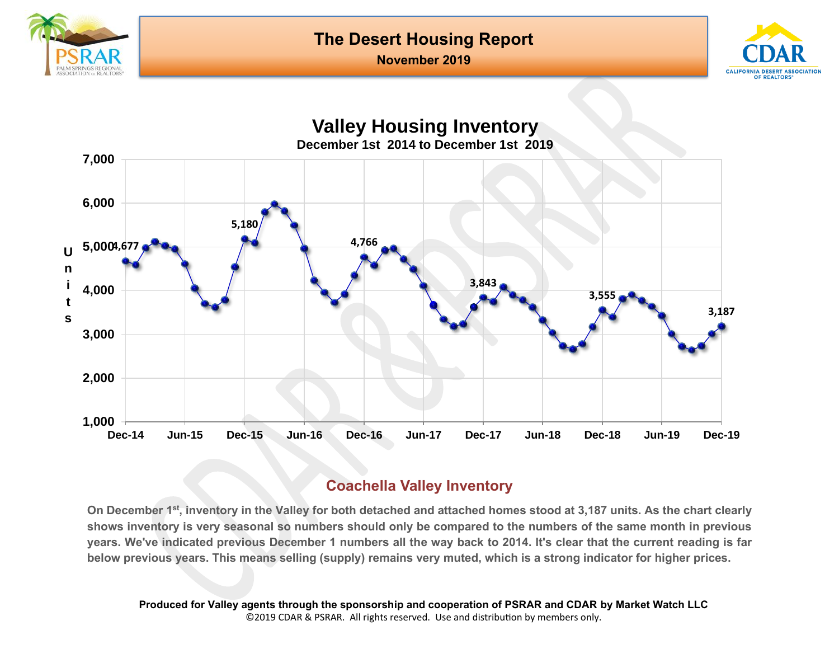

#### **November 2019**





#### **Coachella Valley Inventory**

**On December 1 st, inventory in the Valley for both detached and attached homes stood at 3,187 units. As the chart clearly shows inventory is very seasonal so numbers should only be compared to the numbers of the same month in previous years. We've indicated previous December 1 numbers all the way back to 2014. It's clear that the current reading is far below previous years. This means selling (supply) remains very muted, which is a strong indicator for higher prices.**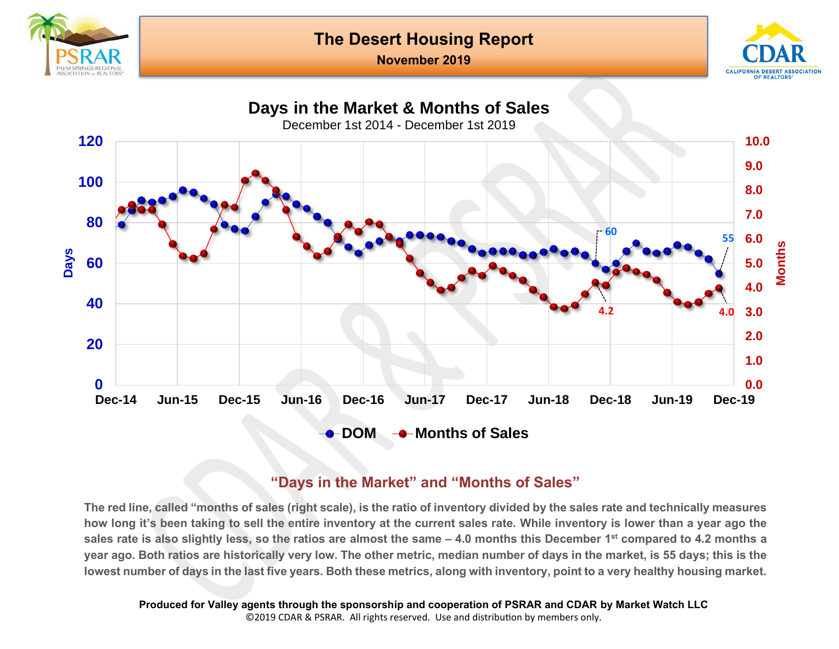

**November 2019**





#### **"Days in the Market" and "Months of Sales"**

**The red line, called "months of sales (right scale), is the ratio of inventory divided by the sales rate and technically measures how long it's been taking to sell the entire inventory at the current sales rate. While inventory is lower than a year ago the sales rate is also slightly less, so the ratios are almost the same – 4.0 months this December 1st compared to 4.2 months a year ago. Both ratios are historically very low. The other metric, median number of days in the market, is 55 days; this is the lowest number of days in the last five years. Both these metrics, along with inventory, point to a very healthy housing market.**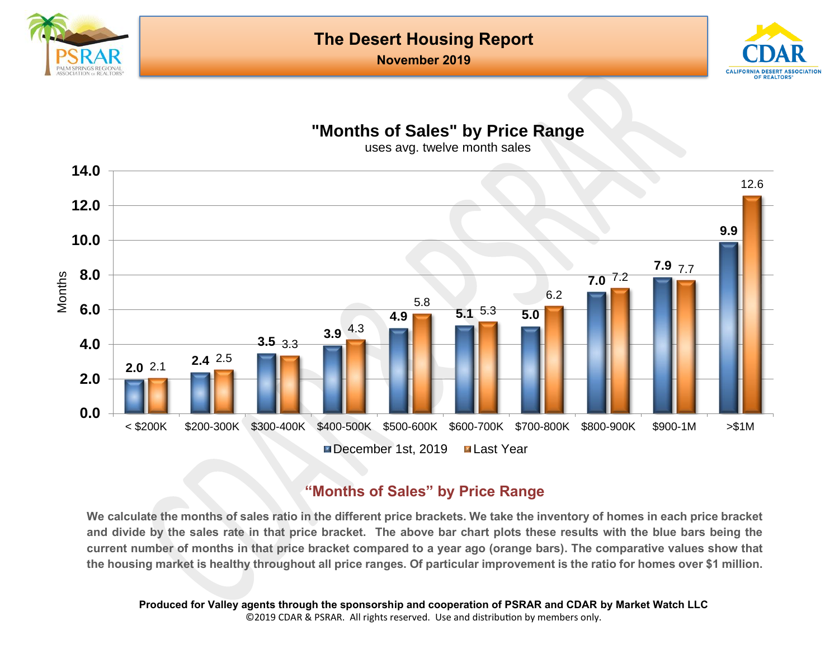



# **"Months of Sales" by Price Range**

uses avg. twelve month sales



### **"Months of Sales" by Price Range**

**We calculate the months of sales ratio in the different price brackets. We take the inventory of homes in each price bracket and divide by the sales rate in that price bracket. The above bar chart plots these results with the blue bars being the current number of months in that price bracket compared to a year ago (orange bars). The comparative values show that the housing market is healthy throughout all price ranges. Of particular improvement is the ratio for homes over \$1 million.**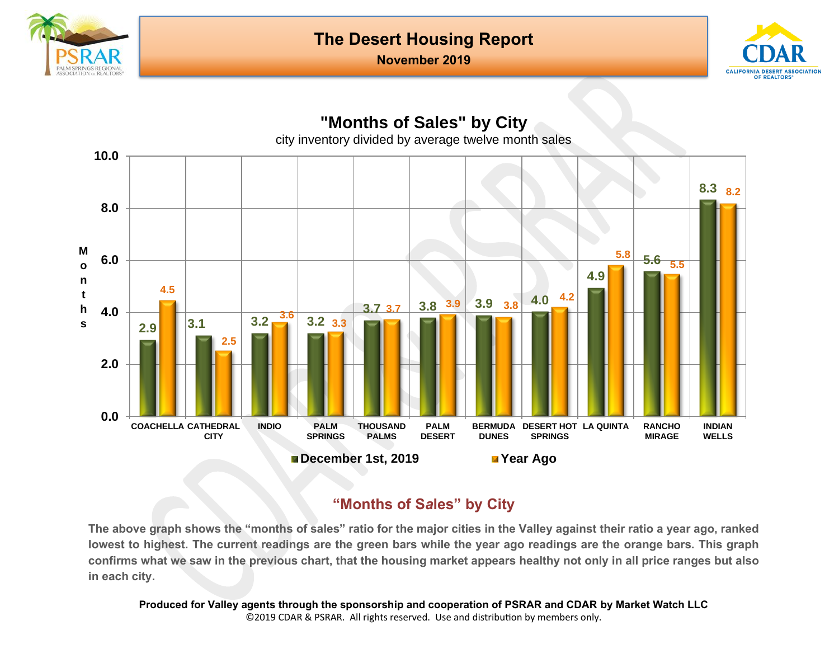





# **"Months of S***a***les" by City**

**The above graph shows the "months of sales" ratio for the major cities in the Valley against their ratio a year ago, ranked lowest to highest. The current readings are the green bars while the year ago readings are the orange bars. This graph confirms what we saw in the previous chart, that the housing market appears healthy not only in all price ranges but also in each city.**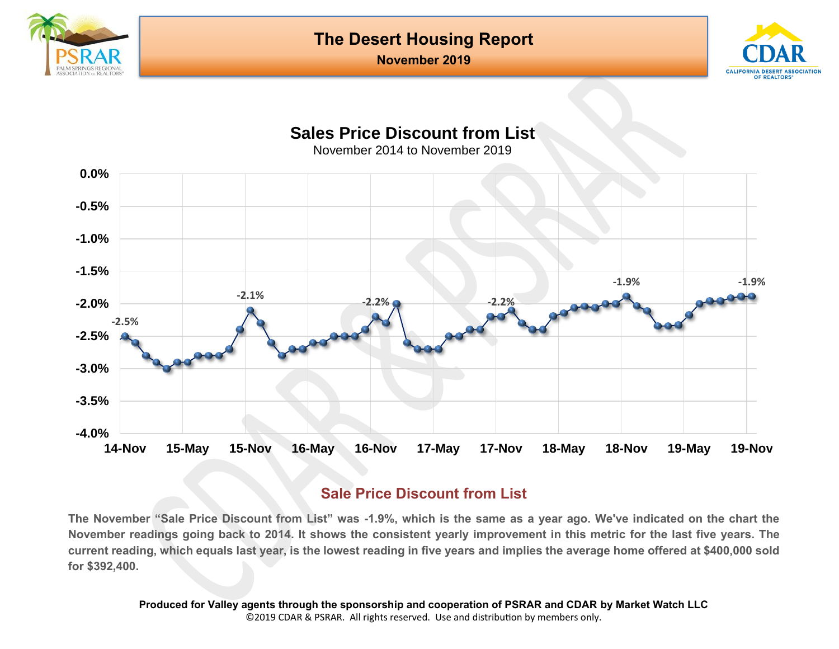



# **Sales Price Discount from List**

November 2014 to November 2019



#### **Sale Price Discount from List**

**The November "Sale Price Discount from List" was -1.9%, which is the same as a year ago. We've indicated on the chart the November readings going back to 2014. It shows the consistent yearly improvement in this metric for the last five years. The current reading, which equals last year, is the lowest reading in five years and implies the average home offered at \$400,000 sold for \$392,400.**